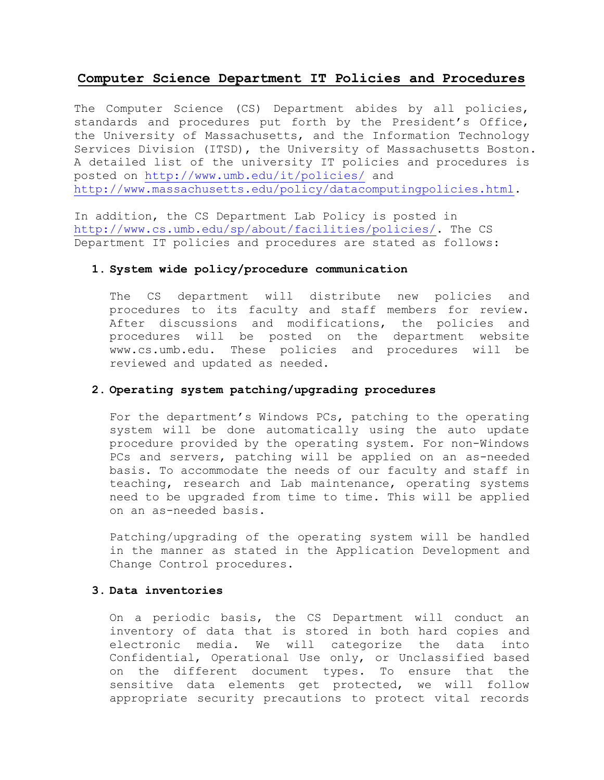# **Computer Science Department IT Policies and Procedures**

The Computer Science (CS) Department abides by all policies, standards and procedures put forth by the President's Office, the University of Massachusetts, and the Information Technology Services Division (ITSD), the University of Massachusetts Boston. A detailed list of the university IT policies and procedures is posted on <http://www.umb.edu/it/policies/> and [http://www.massachusetts.edu/policy/datacomputingpolicies.html.](http://www.massachusetts.edu/policy/datacomputingpolicies.html)

In addition, the CS Department Lab Policy is posted in [http://www.cs.umb.edu/sp/about/facilities/policies/.](http://www.cs.umb.edu/sp/about/facilities/policies/) The CS Department IT policies and procedures are stated as follows:

### **1. System wide policy/procedure communication**

The CS department will distribute new policies and procedures to its faculty and staff members for review. After discussions and modifications, the policies and procedures will be posted on the department website www.cs.umb.edu. These policies and procedures will be reviewed and updated as needed.

### **2. Operating system patching/upgrading procedures**

For the department's Windows PCs, patching to the operating system will be done automatically using the auto update procedure provided by the operating system. For non-Windows PCs and servers, patching will be applied on an as-needed basis. To accommodate the needs of our faculty and staff in teaching, research and Lab maintenance, operating systems need to be upgraded from time to time. This will be applied on an as-needed basis.

Patching/upgrading of the operating system will be handled in the manner as stated in the Application Development and Change Control procedures.

### **3. Data inventories**

On a periodic basis, the CS Department will conduct an inventory of data that is stored in both hard copies and electronic media. We will categorize the data into Confidential, Operational Use only, or Unclassified based on the different document types. To ensure that the sensitive data elements get protected, we will follow appropriate security precautions to protect vital records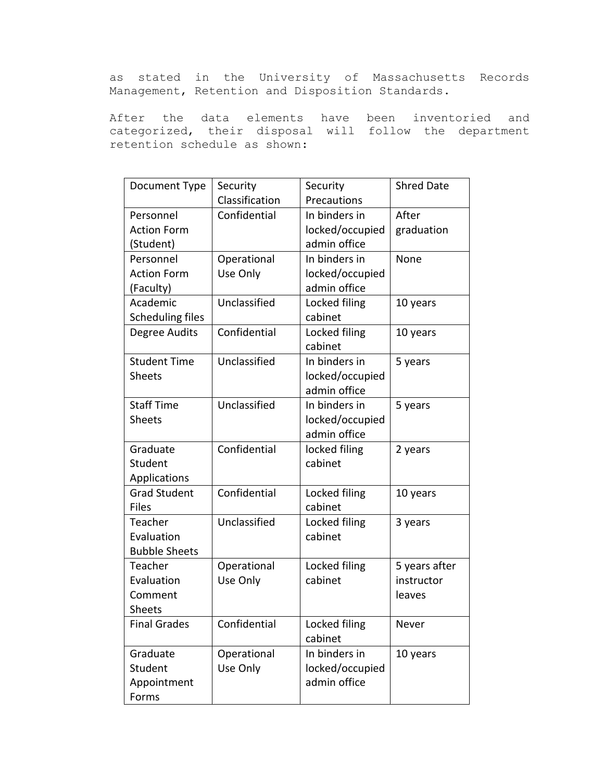as stated in the University of Massachusetts Records Management, Retention and Disposition Standards.

After the data elements have been inventoried and categorized, their disposal will follow the department retention schedule as shown:

| Document Type           | Security       | Security        | <b>Shred Date</b> |
|-------------------------|----------------|-----------------|-------------------|
|                         | Classification | Precautions     |                   |
| Personnel               | Confidential   | In binders in   | After             |
| <b>Action Form</b>      |                | locked/occupied | graduation        |
| (Student)               |                | admin office    |                   |
| Personnel               | Operational    | In binders in   | None              |
| <b>Action Form</b>      | Use Only       | locked/occupied |                   |
| (Faculty)               |                | admin office    |                   |
| Academic                | Unclassified   | Locked filing   | 10 years          |
| <b>Scheduling files</b> |                | cabinet         |                   |
| Degree Audits           | Confidential   | Locked filing   | 10 years          |
|                         |                | cabinet         |                   |
| <b>Student Time</b>     | Unclassified   | In binders in   | 5 years           |
| <b>Sheets</b>           |                | locked/occupied |                   |
|                         |                | admin office    |                   |
| <b>Staff Time</b>       | Unclassified   | In binders in   | 5 years           |
| <b>Sheets</b>           |                | locked/occupied |                   |
|                         |                | admin office    |                   |
| Graduate                | Confidential   | locked filing   | 2 years           |
| Student                 |                | cabinet         |                   |
| Applications            |                |                 |                   |
| <b>Grad Student</b>     | Confidential   | Locked filing   | 10 years          |
| Files                   |                | cabinet         |                   |
| Teacher                 | Unclassified   | Locked filing   | 3 years           |
| Evaluation              |                | cabinet         |                   |
| <b>Bubble Sheets</b>    |                |                 |                   |
| Teacher                 | Operational    | Locked filing   | 5 years after     |
| Evaluation              | Use Only       | cabinet         | instructor        |
| Comment                 |                |                 | leaves            |
| <b>Sheets</b>           |                |                 |                   |
| <b>Final Grades</b>     | Confidential   | Locked filing   | Never             |
|                         |                | cabinet         |                   |
| Graduate                | Operational    | In binders in   | 10 years          |
| Student                 | Use Only       | locked/occupied |                   |
| Appointment             |                | admin office    |                   |
| Forms                   |                |                 |                   |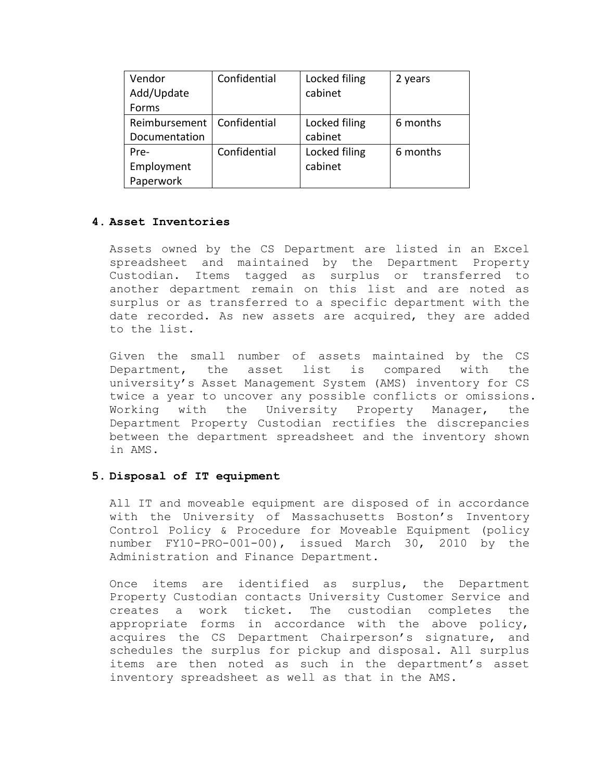| Vendor                       | Confidential | Locked filing | 2 years  |
|------------------------------|--------------|---------------|----------|
| Add/Update                   |              | cabinet       |          |
| Forms                        |              |               |          |
| Reimbursement   Confidential |              | Locked filing | 6 months |
| Documentation                |              | cabinet       |          |
| Pre-                         | Confidential | Locked filing | 6 months |
| Employment                   |              | cabinet       |          |
| Paperwork                    |              |               |          |

## **4. Asset Inventories**

Assets owned by the CS Department are listed in an Excel spreadsheet and maintained by the Department Property Custodian. Items tagged as surplus or transferred to another department remain on this list and are noted as surplus or as transferred to a specific department with the date recorded. As new assets are acquired, they are added to the list.

Given the small number of assets maintained by the CS Department, the asset list is compared with the university's Asset Management System (AMS) inventory for CS twice a year to uncover any possible conflicts or omissions. Working with the University Property Manager, the Department Property Custodian rectifies the discrepancies between the department spreadsheet and the inventory shown in AMS.

### **5. Disposal of IT equipment**

All IT and moveable equipment are disposed of in accordance with the University of Massachusetts Boston's Inventory Control Policy & Procedure for Moveable Equipment (policy number FY10-PRO-001-00), issued March 30, 2010 by the Administration and Finance Department.

Once items are identified as surplus, the Department Property Custodian contacts University Customer Service and creates a work ticket. The custodian completes the appropriate forms in accordance with the above policy, acquires the CS Department Chairperson's signature, and schedules the surplus for pickup and disposal. All surplus items are then noted as such in the department's asset inventory spreadsheet as well as that in the AMS.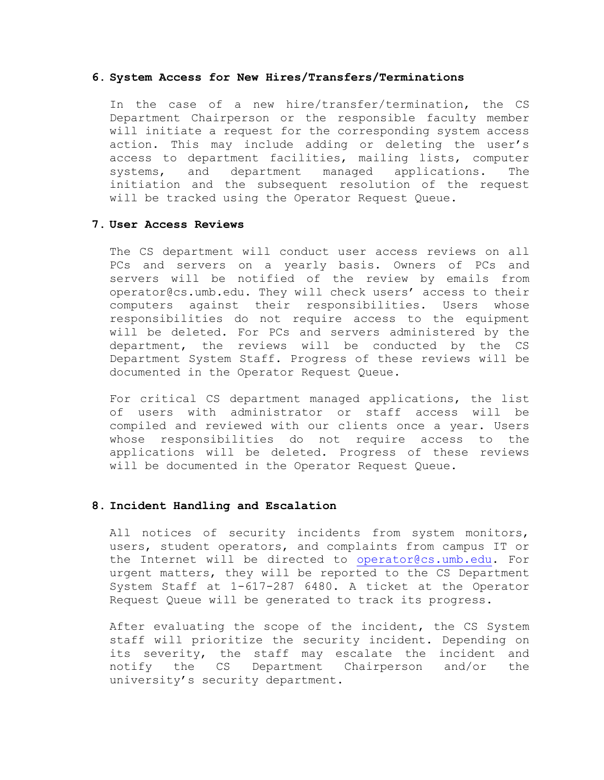#### **6. System Access for New Hires/Transfers/Terminations**

In the case of a new hire/transfer/termination, the CS Department Chairperson or the responsible faculty member will initiate a request for the corresponding system access action. This may include adding or deleting the user's access to department facilities, mailing lists, computer systems, and department managed applications. The initiation and the subsequent resolution of the request will be tracked using the Operator Request Queue.

#### **7. User Access Reviews**

The CS department will conduct user access reviews on all PCs and servers on a yearly basis. Owners of PCs and servers will be notified of the review by emails from operator@cs.umb.edu. They will check users' access to their computers against their responsibilities. Users whose responsibilities do not require access to the equipment will be deleted. For PCs and servers administered by the department, the reviews will be conducted by the CS Department System Staff. Progress of these reviews will be documented in the Operator Request Queue.

For critical CS department managed applications, the list of users with administrator or staff access will be compiled and reviewed with our clients once a year. Users whose responsibilities do not require access to the applications will be deleted. Progress of these reviews will be documented in the Operator Request Queue.

#### **8. Incident Handling and Escalation**

All notices of security incidents from system monitors, users, student operators, and complaints from campus IT or the Internet will be directed to [operator@cs.umb.edu.](mailto:operator@cs.umb.edu) For urgent matters, they will be reported to the CS Department System Staff at 1-617-287 6480. A ticket at the Operator Request Queue will be generated to track its progress.

After evaluating the scope of the incident, the CS System staff will prioritize the security incident. Depending on its severity, the staff may escalate the incident and notify the CS Department Chairperson and/or the university's security department.